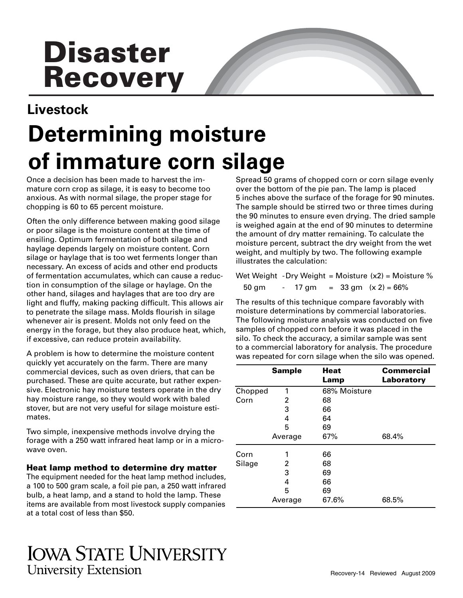# **Disaster Recovery**

## **Livestock Determining moisture of immature corn silage**

Once a decision has been made to harvest the immature corn crop as silage, it is easy to become too anxious. As with normal silage, the proper stage for chopping is 60 to 65 percent moisture.

Often the only difference between making good silage or poor silage is the moisture content at the time of ensiling. Optimum fermentation of both silage and haylage depends largely on moisture content. Corn silage or haylage that is too wet ferments longer than necessary. An excess of acids and other end products of fermentation accumulates, which can cause a reduction in consumption of the silage or haylage. On the other hand, silages and haylages that are too dry are light and fluffy, making packing difficult. This allows air to penetrate the silage mass. Molds flourish in silage whenever air is present. Molds not only feed on the energy in the forage, but they also produce heat, which, if excessive, can reduce protein availability.

A problem is how to determine the moisture content quickly yet accurately on the farm. There are many commercial devices, such as oven driers, that can be purchased. These are quite accurate, but rather expensive. Electronic hay moisture testers operate in the dry hay moisture range, so they would work with baled stover, but are not very useful for silage moisture estimates.

Two simple, inexpensive methods involve drying the forage with a 250 watt infrared heat lamp or in a microwave oven.

**Heat lamp method to determine dry matter** 

The equipment needed for the heat lamp method includes, a 100 to 500 gram scale, a foil pie pan, a 250 watt infrared bulb, a heat lamp, and a stand to hold the lamp. These items are available from most livestock supply companies at a total cost of less than \$50.

### **IOWA STATE UNIVERSITY University Extension**

Spread 50 grams of chopped corn or corn silage evenly over the bottom of the pie pan. The lamp is placed 5 inches above the surface of the forage for 90 minutes. The sample should be stirred two or three times during the 90 minutes to ensure even drying. The dried sample is weighed again at the end of 90 minutes to determine the amount of dry matter remaining. To calculate the moisture percent, subtract the dry weight from the wet weight, and multiply by two. The following example illustrates the calculation:

Wet Weight -Dry Weight = Moisture  $(x2)$  = Moisture % 50 gm  $- 17$  gm  $= 33$  gm  $(x 2) = 66\%$ 

The results of this technique compare favorably with moisture determinations by commercial laboratories. The following moisture analysis was conducted on five samples of chopped corn before it was placed in the silo. To check the accuracy, a similar sample was sent to a commercial laboratory for analysis. The procedure was repeated for corn silage when the silo was opened.

|         | <b>Sample</b> | <b>Heat</b><br>Lamp | <b>Commercial</b><br>Laboratory |
|---------|---------------|---------------------|---------------------------------|
| Chopped | 1             | 68% Moisture        |                                 |
| Corn    | 2             | 68                  |                                 |
|         | 3             | 66                  |                                 |
|         | 4             | 64                  |                                 |
|         | 5             | 69                  |                                 |
|         | Average       | 67%                 | 68.4%                           |
| Corn    |               | 66                  |                                 |
| Silage  | 2             | 68                  |                                 |
|         | 3             | 69                  |                                 |
|         | 4             | 66                  |                                 |
|         | 5             | 69                  |                                 |
|         | Average       | 67.6%               | 68.5%                           |